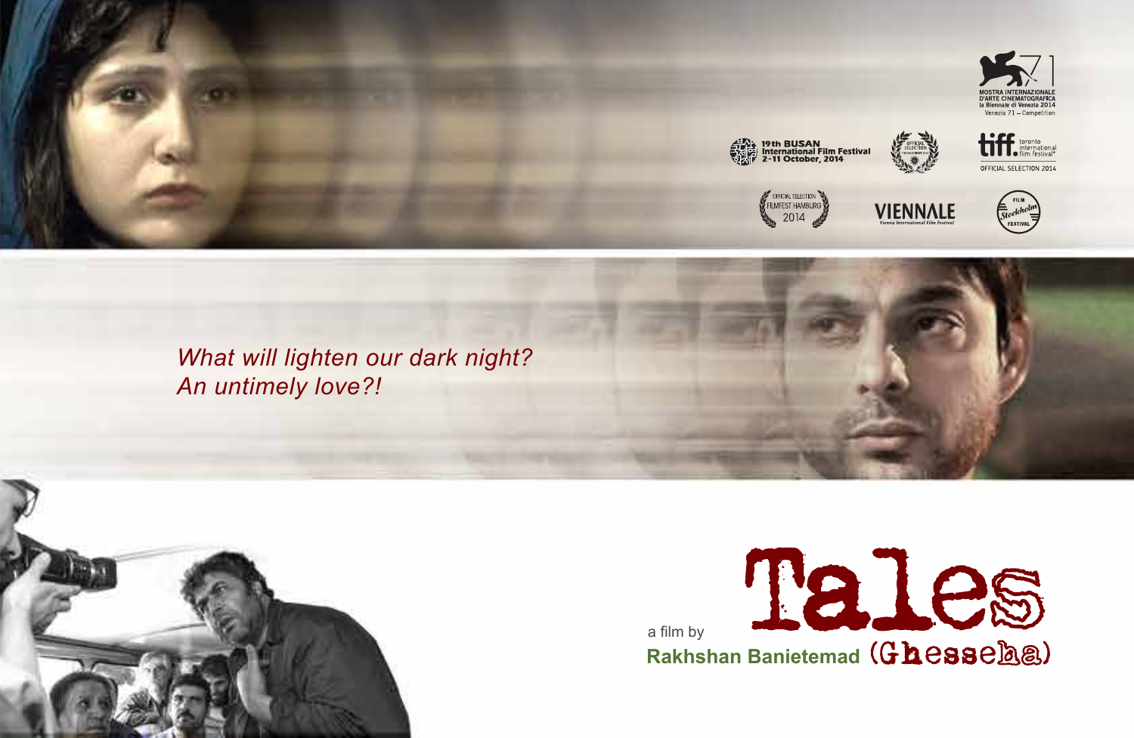

*What will lighten our dark night? An untimely love?!*

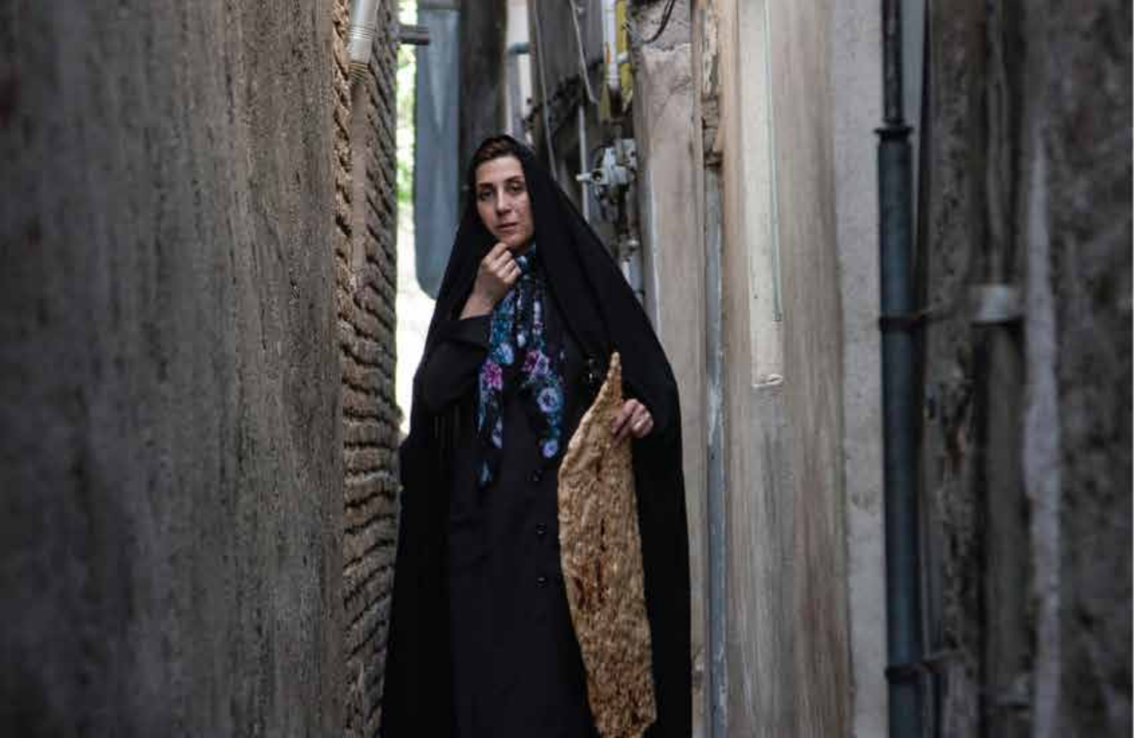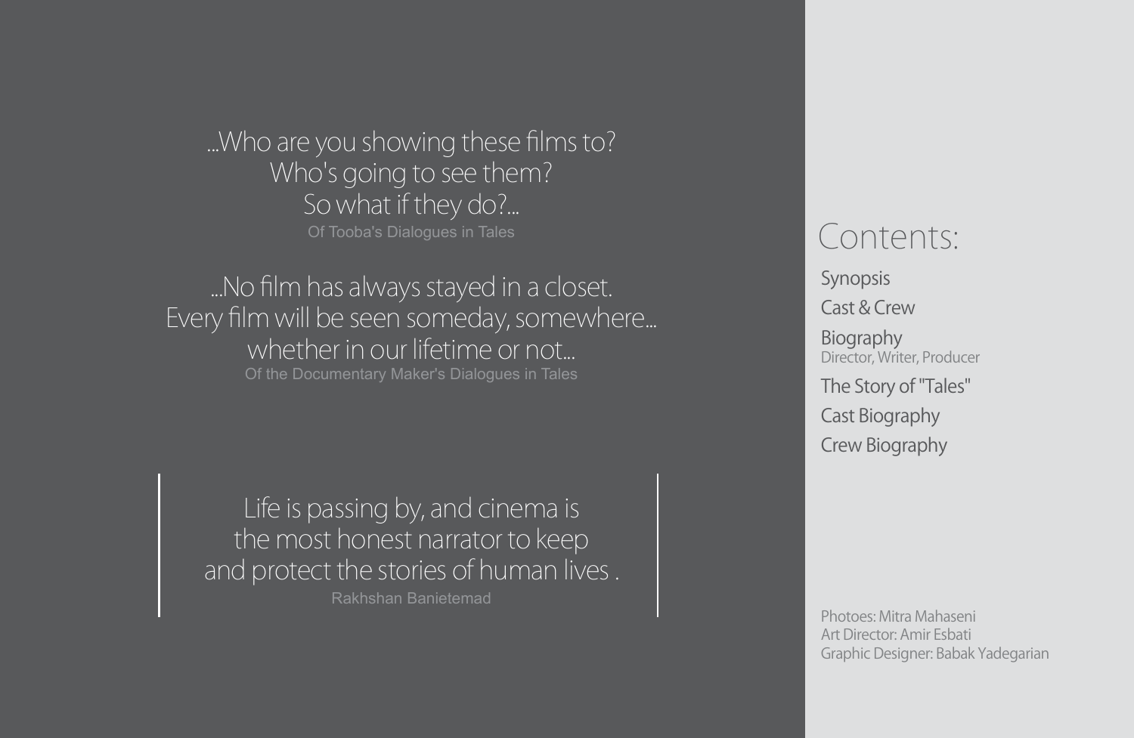...Who are you showing these films to? Who's going to see them? So what if they do?... Of Tooba's Dialogues in Tales

...No film has always stayed in a closet. Every film will be seen someday, somewhere... whether in our lifetime or not...

Life is passing by, and cinema is the most honest narrator to keep and protect the stories of human lives . Rakhshan Banietemad

### Contents:

Synopsis Cast & Crew Biography Director, Writer, Producer The Story of "Tales" Cast Biography Crew Biography

Photoes: Mitra Mahaseni Art Director: Amir Esbati Graphic Designer: Babak Yadegarian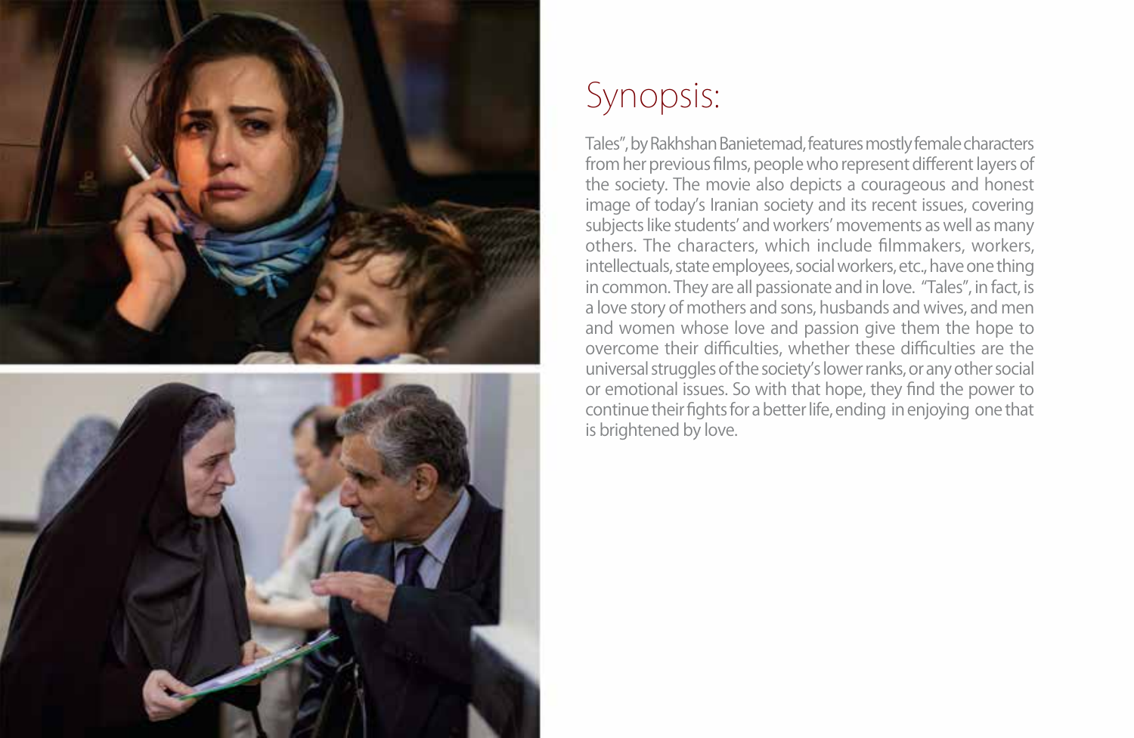

# Synopsis:

Tales", by Rakhshan Banietemad, features mostly female characters from her previous films, people who represent different layers of the society. The movie also depicts a courageous and honest image of today's Iranian society and its recent issues, covering subjects like students' and workers' movements as well as many others. The characters, which include filmmakers, workers, intellectuals, state employees, social workers, etc., have one thing in common. They are all passionate and in love. "Tales", in fact, is a love story of mothers and sons, husbands and wives, and men and women whose love and passion give them the hope to overcome their difficulties, whether these difficulties are the universal struggles of the society's lower ranks, or any other social or emotional issues. So with that hope, they find the power to continue their fights for a better life, ending in enjoying one that is brightened by love.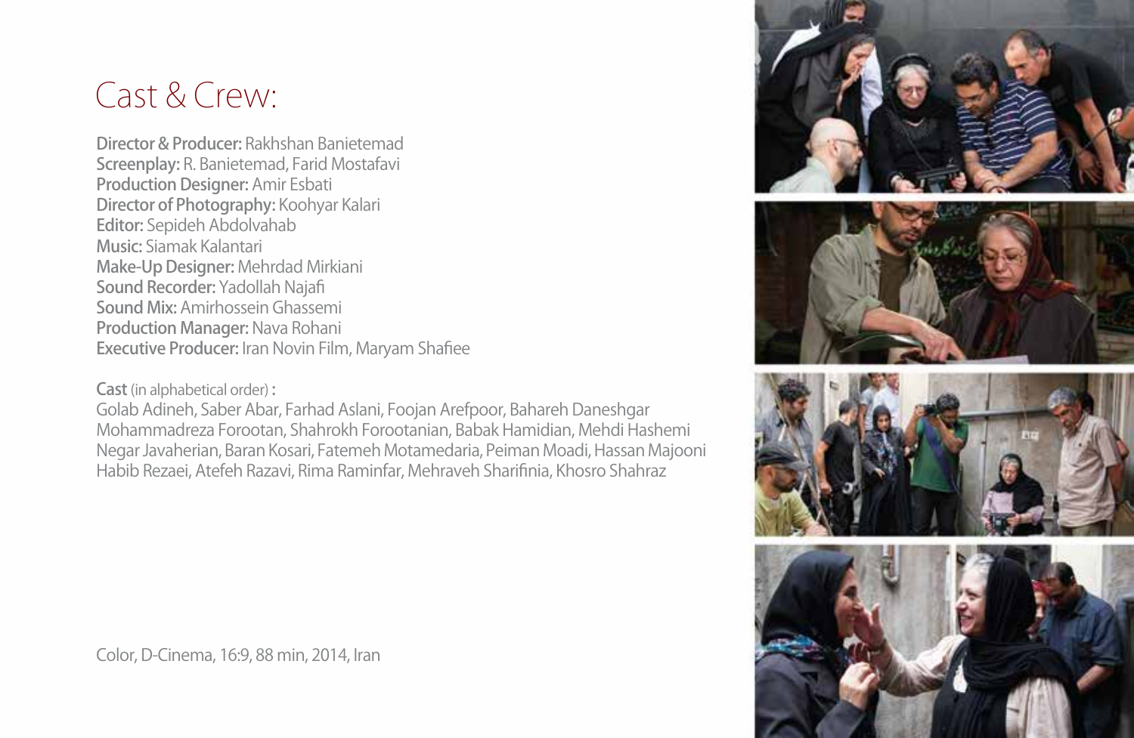# Cast & Crew:

Director & Producer: Rakhshan Banietemad Screenplay: R. Banietemad, Farid Mostafavi Production Designer: Amir Esbati Director of Photography: Koohyar Kalari Editor: Sepideh Abdolvahab Music: Siamak Kalantari Make-Up Designer: Mehrdad Mirkiani Sound Recorder: Yadollah Najafi Sound Mix: Amirhossein Ghassemi Production Manager: Nava Rohani Executive Producer: Iran Novin Film, Maryam Shafiee

### Cast (in alphabetical order) :

Golab Adineh, Saber Abar, Farhad Aslani, Foojan Arefpoor, Bahareh Daneshgar Mohammadreza Forootan, Shahrokh Forootanian, Babak Hamidian, Mehdi Hashemi Negar Javaherian, Baran Kosari, Fatemeh Motamedaria, Peiman Moadi, Hassan Majooni Habib Rezaei, Atefeh Razavi, Rima Raminfar, Mehraveh Sharifinia, Khosro Shahraz



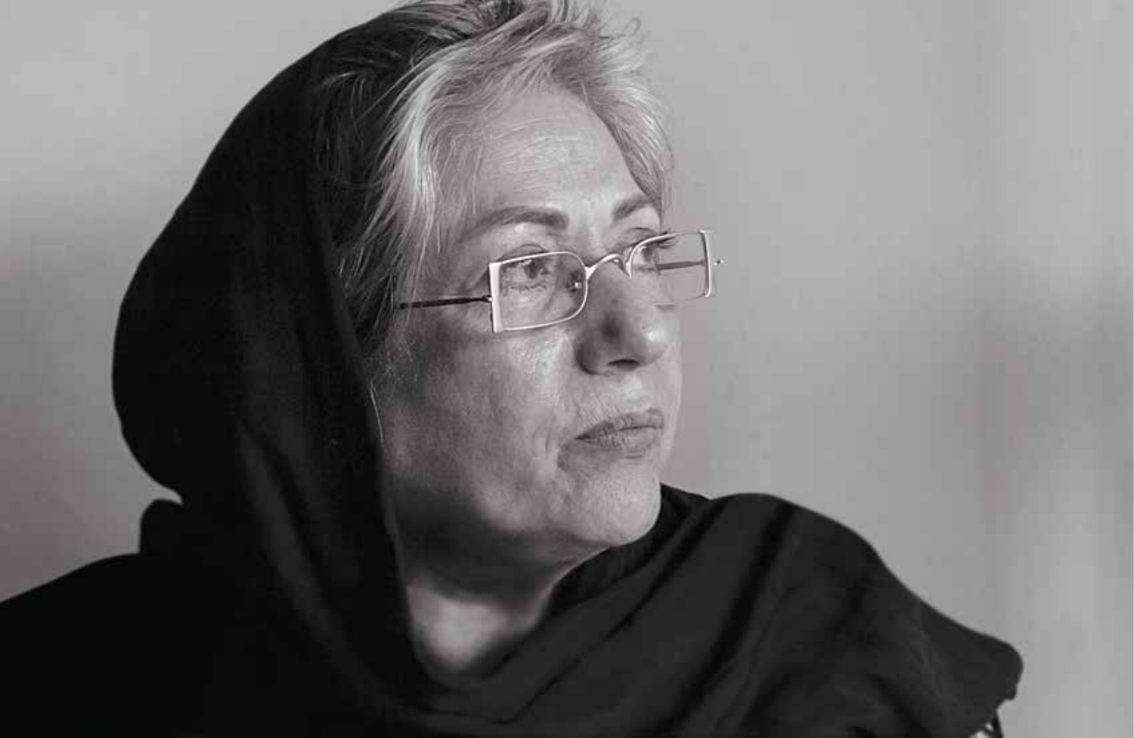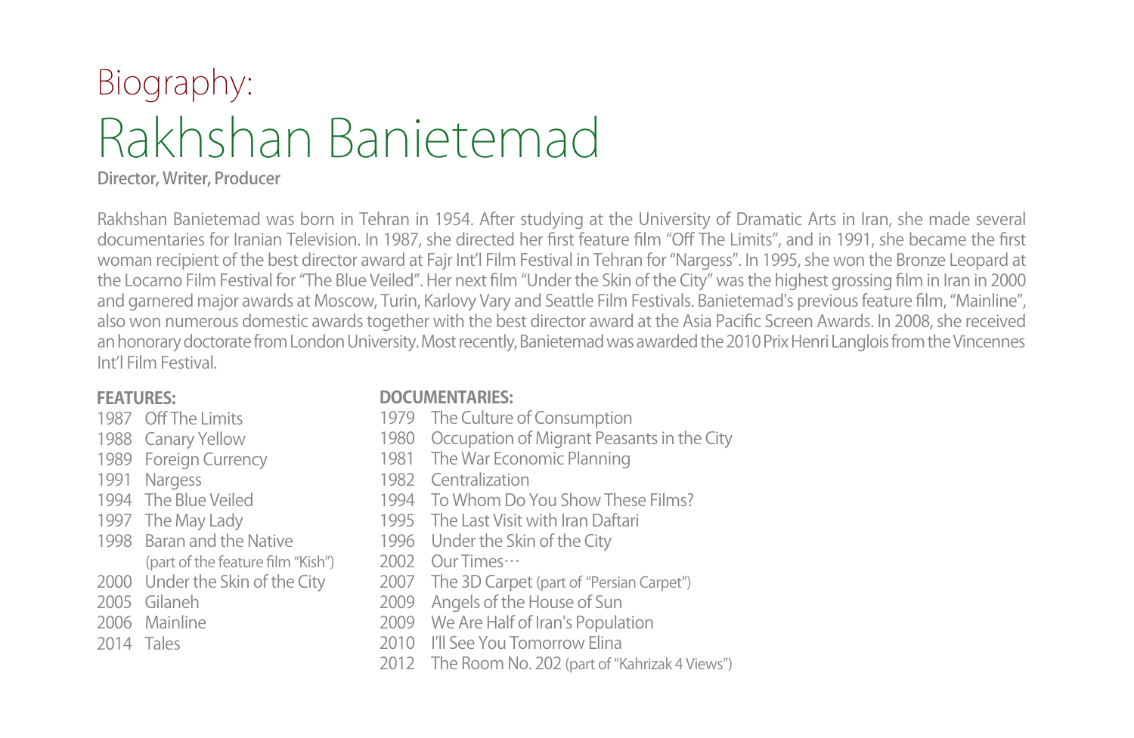# Biography: Rakhshan Banietemad

Director, Writer, Producer

Rakhshan Banietemad was born in Tehran in 1954. After studying at the University of Dramatic Arts in Iran, she made several documentaries for Iranian Television. In 1987, she directed her first feature film "Off The Limits", and in 1991, she became the first woman recipient of the best director award at Fajr Int'l Film Festival in Tehran for "Nargess". In 1995, she won the Bronze Leopard at the Locarno Film Festival for "The Blue Veiled". Her next film "Under the Skin of the City" was the highest grossing film in Iran in 2000 and garnered major awards at Moscow, Turin, Karlovy Vary and Seattle Film Festivals. Banietemad's previous feature film, "Mainline", also won numerous domestic awards together with the best director award at the Asia Pacific Screen Awards. In 2008, she received an honorary doctorate from London University. Most recently, Banietemad was awarded the 2010 Prix Henri Langlois from the Vincennes Int'l Film Festival.

### **FEATURES:**

- 1987 Off The Limits
- 1988 Canary Yellow
- 1989 Foreign Currency
- 1991 Nargess
- 1994 The Blue Veiled

1997 The May Lady

1998 Baran and the Native (part of the feature film "Kish")

- 2000 Under the Skin of the City
- 2005 Gilaneh
- 2006 Mainline
- 2014 Tales

### **DOCUMENTARIES:**

- 1979 The Culture of Consumption
- 1980 Occupation of Migrant Peasants in the City
- 1981 The War Economic Planning
- 1982 Centralization
- 1994 To Whom Do You Show These Films?
- 1995 The Last Visit with Iran Daftari
- 1996 Under the Skin of the City
- 2002 Our Times…
- 2007 The 3D Carpet (part of "Persian Carpet")
- 2009 Angels of the House of Sun
- 2009 We Are Half of Iran's Population
- 2010 I'll See You Tomorrow Flina
- 2012 The Room No. 202 (part of "Kahrizak 4 Views")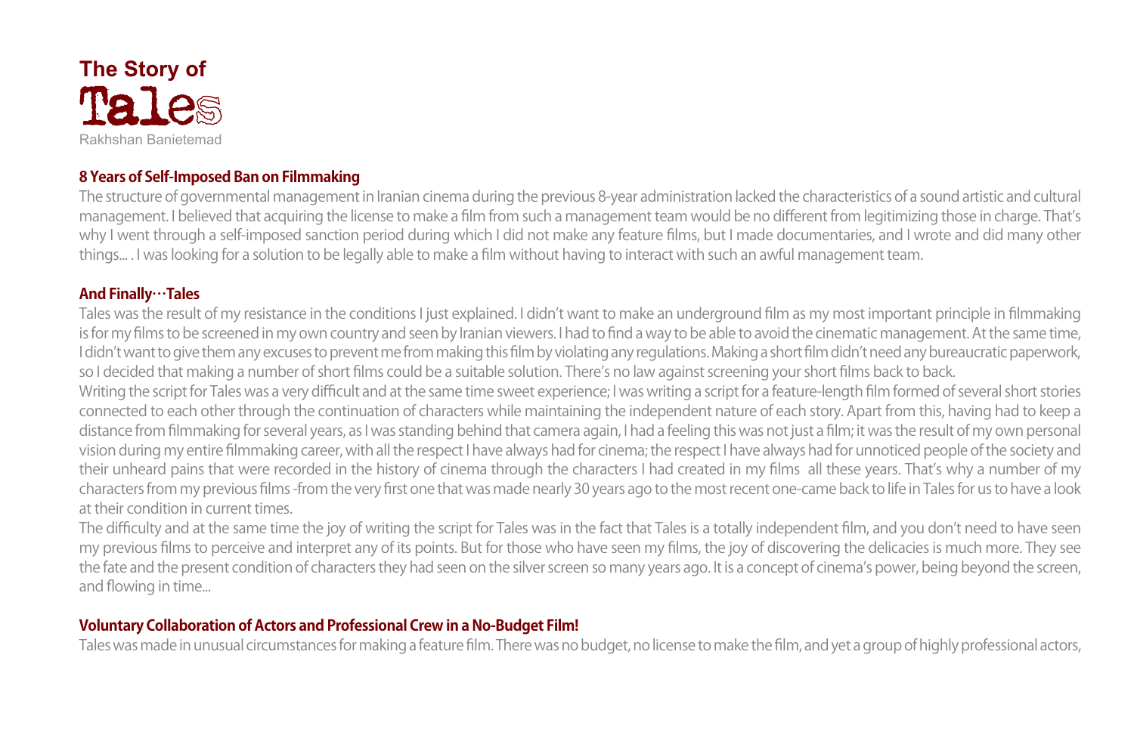

#### **8 Years of Self-Imposed Ban on Filmmaking**

The structure of governmental management in Iranian cinema during the previous 8-year administration lacked the characteristics of a sound artistic and cultural management. I believed that acquiring the license to make a film from such a management team would be no different from legitimizing those in charge. That's why I went through a self-imposed sanction period during which I did not make any feature films, but I made documentaries, and I wrote and did many other things... . I was looking for a solution to be legally able to make a film without having to interact with such an awful management team.

#### **And Finally…Tales**

Tales was the result of my resistance in the conditions I just explained. I didn't want to make an underground film as my most important principle in filmmaking is for my films to be screened in my own country and seen by Iranian viewers. I had to find a way to be able to avoid the cinematic management. At the same time, I didn't want to give them any excuses to prevent me from making this film by violating any regulations. Making a short film didn't need any bureaucratic paperwork, so I decided that making a number of short films could be a suitable solution. There's no law against screening your short films back to back.

Writing the script for Tales was a very difficult and at the same time sweet experience; I was writing a script for a feature-length film formed of several short stories connected to each other through the continuation of characters while maintaining the independent nature of each story. Apart from this, having had to keep a distance from filmmaking for several years, as I was standing behind that camera again, I had a feeling this was not just a film; it was the result of my own personal vision during my entire filmmaking career, with all the respect I have always had for cinema; the respect I have always had for unnoticed people of the society and their unheard pains that were recorded in the history of cinema through the characters I had created in my films all these years. That's why a number of my characters from my previous films -from the very first one that was made nearly 30 years ago to the most recent one-came back to life in Tales for us to have a look at their condition in current times.

The difficulty and at the same time the joy of writing the script for Tales was in the fact that Tales is a totally independent film, and you don't need to have seen my previous films to perceive and interpret any of its points. But for those who have seen my films, the joy of discovering the delicacies is much more. They see the fate and the present condition of characters they had seen on the silver screen so many years ago. It is a concept of cinema's power, being beyond the screen, and flowing in time...

#### **Voluntary Collaboration of Actors and Professional Crew in a No-Budget Film!**

Tales was made in unusual circumstances for making a feature film. There was no budget, no license to make the film, and yet a group of highly professional actors,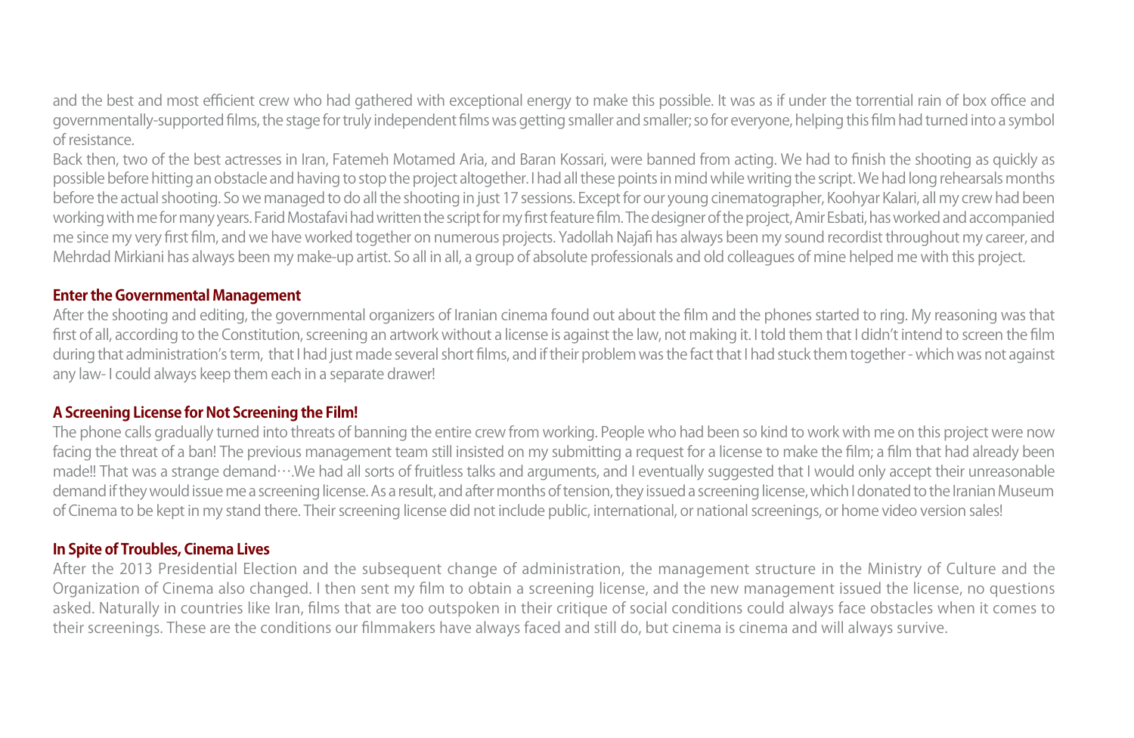and the best and most efficient crew who had gathered with exceptional energy to make this possible. It was as if under the torrential rain of box office and governmentally-supported films, the stage for truly independent films was getting smaller and smaller; so for everyone, helping this film had turned into a symbol of resistance.

Back then, two of the best actresses in Iran, Fatemeh Motamed Aria, and Baran Kossari, were banned from acting. We had to finish the shooting as quickly as possible before hitting an obstacle and having to stop the project altogether. I had all these points in mind while writing the script. We had long rehearsals months before the actual shooting. So we managed to do all the shooting in just 17 sessions. Except for our young cinematographer, Koohyar Kalari, all my crew had been working with me for many years. Farid Mostafavi had written the script for my first feature film. The designer of the project, Amir Esbati, has worked and accompanied me since my very first film, and we have worked together on numerous projects. Yadollah Najafi has always been my sound recordist throughout my career, and Mehrdad Mirkiani has always been my make-up artist. So all in all, a group of absolute professionals and old colleagues of mine helped me with this project.

#### **Enter the Governmental Management**

After the shooting and editing, the governmental organizers of Iranian cinema found out about the film and the phones started to ring. My reasoning was that first of all, according to the Constitution, screening an artwork without a license is against the law, not making it. I told them that I didn't intend to screen the film during that administration's term, that I had just made several short films, and if their problem was the fact that I had stuck them together - which was not against any law- I could always keep them each in a separate drawer!

#### **A Screening License for Not Screening the Film!**

The phone calls gradually turned into threats of banning the entire crew from working. People who had been so kind to work with me on this project were now facing the threat of a ban! The previous management team still insisted on my submitting a request for a license to make the film; a film that had already been made!! That was a strange demand….We had all sorts of fruitless talks and arguments, and I eventually suggested that I would only accept their unreasonable demand if they would issue me a screening license. As a result, and after months of tension, they issued a screening license, which I donated to the Iranian Museum of Cinema to be kept in my stand there. Their screening license did not include public, international, or national screenings, or home video version sales!

#### **In Spite of Troubles, Cinema Lives**

After the 2013 Presidential Election and the subsequent change of administration, the management structure in the Ministry of Culture and the Organization of Cinema also changed. I then sent my film to obtain a screening license, and the new management issued the license, no questions asked. Naturally in countries like Iran, films that are too outspoken in their critique of social conditions could always face obstacles when it comes to their screenings. These are the conditions our filmmakers have always faced and still do, but cinema is cinema and will always survive.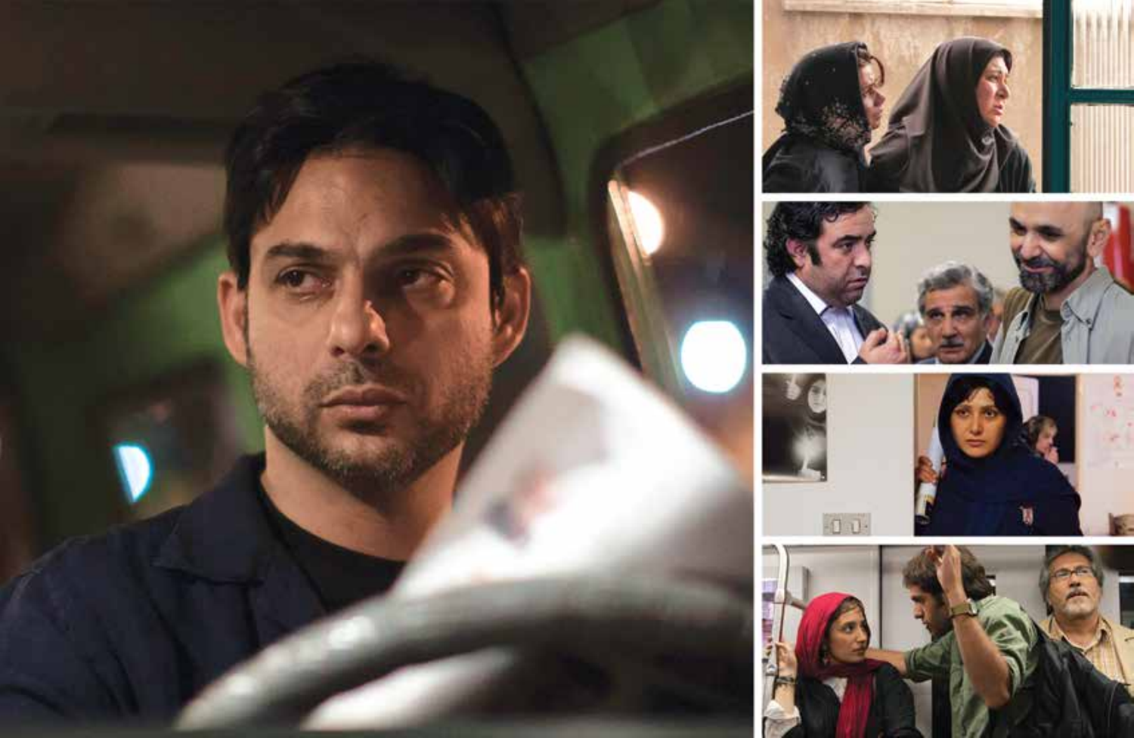







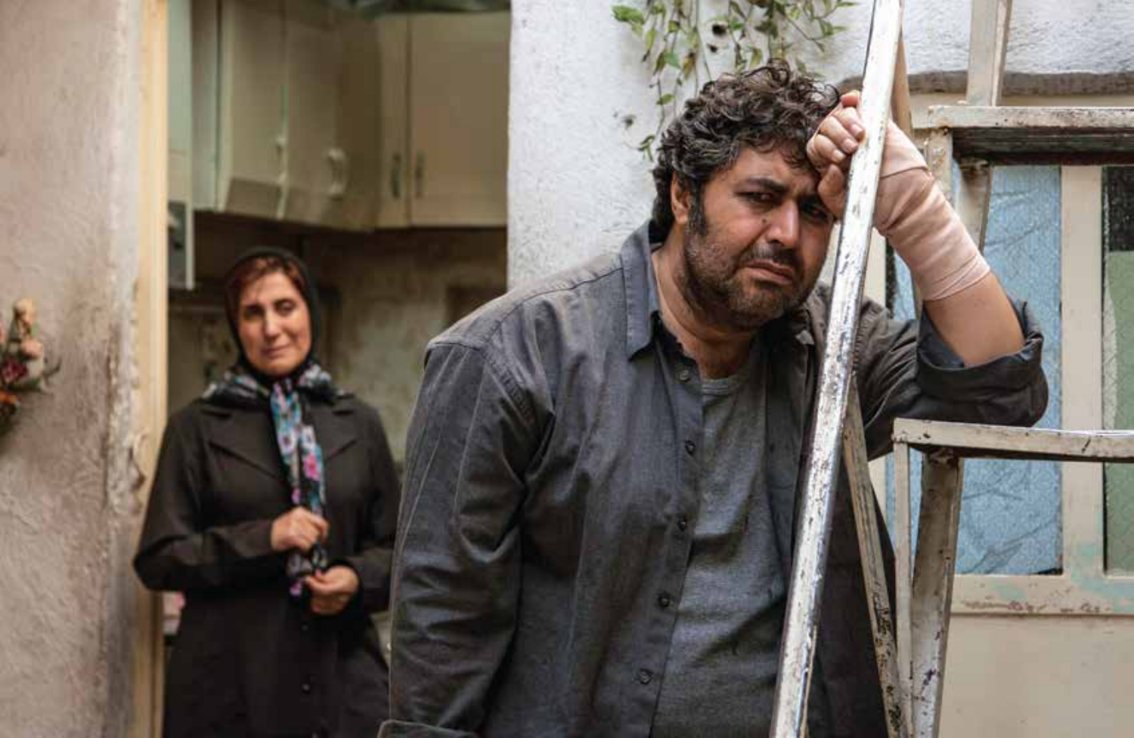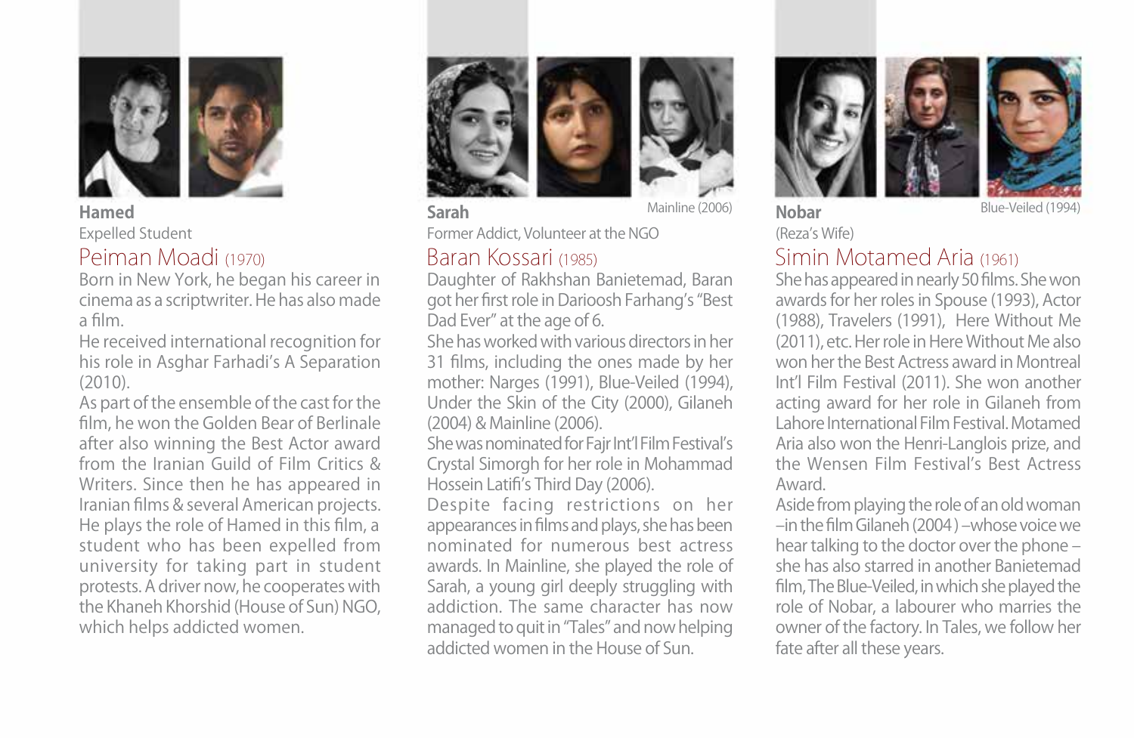

**Hamed** Expelled Student Peiman Moadi (1970)

Born in New York, he began his career in cinema as a scriptwriter. He has also made a film.

He received international recognition for his role in Asghar Farhadi's A Separation (2010).

As part of the ensemble of the cast for the film, he won the Golden Bear of Berlinale after also winning the Best Actor award from the Iranian Guild of Film Critics & Writers. Since then he has appeared in Iranian films & several American projects. He plays the role of Hamed in this film, a student who has been expelled from university for taking part in student protests. A driver now, he cooperates with the Khaneh Khorshid (House of Sun) NGO, which helps addicted women.



**Sarah** 









Former Addict, Volunteer at the NGO

### Baran Kossari (1985)

Daughter of Rakhshan Banietemad, Baran got her first role in Darioosh Farhang's "Best Dad Ever" at the age of 6.

She has worked with various directors in her 31 films, including the ones made by her mother: Narges (1991), Blue-Veiled (1994), Under the Skin of the City (2000), Gilaneh (2004) & Mainline (2006).

She was nominated for Fajr Int'l Film Festival's Crystal Simorgh for her role in Mohammad Hossein Latifi's Third Day (2006).

Despite facing restrictions on her appearances in films and plays, she has been nominated for numerous best actress awards. In Mainline, she played the role of Sarah, a young girl deeply struggling with addiction. The same character has now managed to quit in "Tales" and now helping addicted women in the House of Sun.

**Nobar**  (Reza's Wife) Mainline (2006) **Blue-Veiled (1994** 

### Simin Motamed Aria (1961)

She has appeared in nearly 50 films. She won awards for her roles in Spouse (1993), Actor (1988), Travelers (1991), Here Without Me (2011), etc. Her role in Here Without Me also won her the Best Actress award in Montreal Int'l Film Festival (2011). She won another acting award for her role in Gilaneh from Lahore International Film Festival. Motamed Aria also won the Henri-Langlois prize, and the Wensen Film Festival's Best Actress Award.

Aside from playing the role of an old woman ‒in the film Gilaneh (2004 ) ‒whose voice we hear talking to the doctor over the phone – she has also starred in another Banietemad film, The Blue-Veiled, in which she played the role of Nobar, a labourer who marries the owner of the factory. In Tales, we follow her fate after all these years.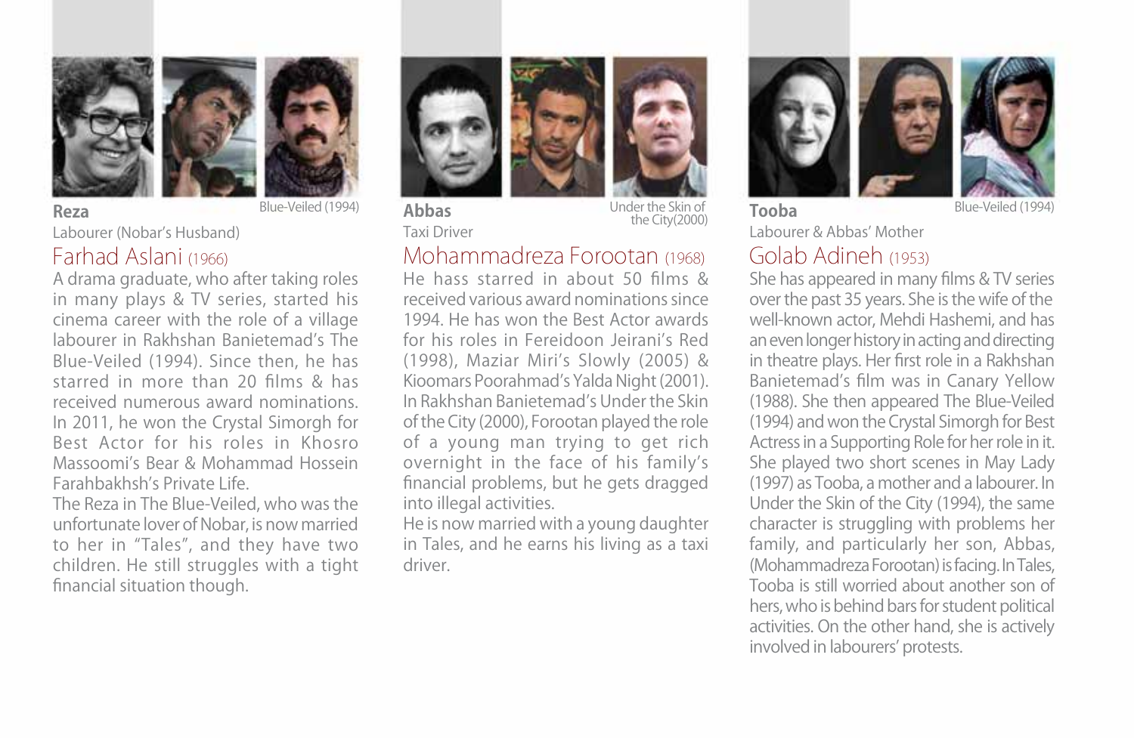



**Reza**

Labourer (Nobar's Husband)

Farhad Aslani (1966)

A drama graduate, who after taking roles in many plays & TV series, started his cinema career with the role of a village labourer in Rakhshan Banietemad's The Blue-Veiled (1994). Since then, he has starred in more than 20 films & has received numerous award nominations. In 2011, he won the Crystal Simorgh for Best Actor for his roles in Khosro Massoomi's Bear & Mohammad Hossein Farahbakhsh's Private Life.

The Reza in The Blue-Veiled, who was the unfortunate lover of Nobar, is now married to her in "Tales", and they have two children. He still struggles with a tight financial situation though.





Under the Skin of

**Abbas**  Taxi Driver the City(2000)

### Mohammadreza Forootan (1968)

He hass starred in about 50 films & received various award nominations since 1994. He has won the Best Actor awards for his roles in Fereidoon Jeirani's Red (1998), Maziar Miri's Slowly (2005) & Kioomars Poorahmad's Yalda Night (2001). In Rakhshan Banietemad's Under the Skin of the City (2000), Forootan played the role of a young man trying to get rich overnight in the face of his family's financial problems, but he gets dragged into illegal activities.

He is now married with a young daughter in Tales, and he earns his living as a taxi driver.



**Tooba** Labourer & Abbas' Mother Blue-Veiled (1994) **Ahhas** Under the Skin of Blue-Veiled (1994)

### Golab Adineh (1953)

She has appeared in many films & TV series over the past 35 years. She is the wife of the well-known actor, Mehdi Hashemi, and has an even longer history in acting and directing in theatre plays. Her first role in a Rakhshan Banietemad's film was in Canary Yellow (1988). She then appeared The Blue-Veiled (1994) and won the Crystal Simorgh for Best Actress in a Supporting Role for her role in it. She played two short scenes in May Lady (1997) as Tooba, a mother and a labourer. In Under the Skin of the City (1994), the same character is struggling with problems her family, and particularly her son, Abbas, (Mohammadreza Forootan) is facing. In Tales, Tooba is still worried about another son of hers, who is behind bars for student political activities. On the other hand, she is actively involved in labourers' protests.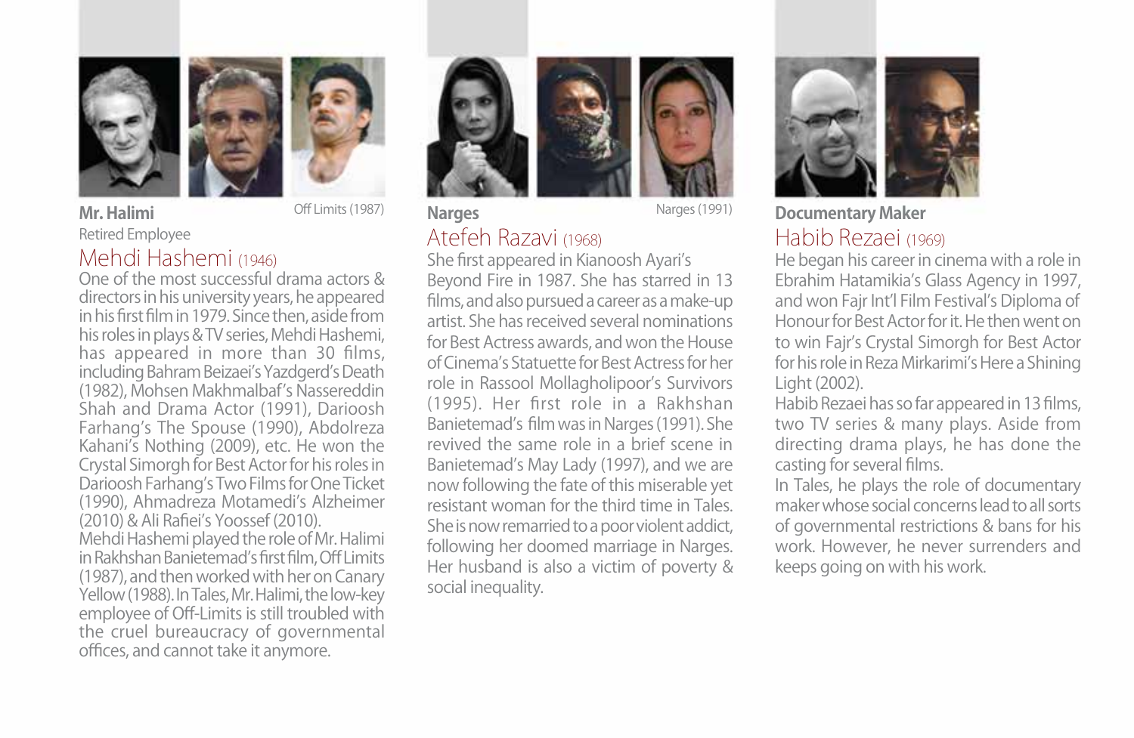



**Mr. Halimi Coff Limits (1987) Narges Narges** Narges (1991) Retired Employee

### Mehdi Hashemi (1946)

One of the most successful drama actors & directors in his university years, he appeared in his first film in 1979. Since then, aside from his roles in plays & TV series, Mehdi Hashemi, has appeared in more than 30 films, including Bahram Beizaei's Yazdgerd's Death (1982), Mohsen Makhmalbaf's Nassereddin Shah and Drama Actor (1991), Darioosh Farhang's The Spouse (1990), Abdolreza Kahani's Nothing (2009), etc. He won the Crystal Simorgh for Best Actor for his roles in Darioosh Farhang's Two Films for One Ticket (1990), Ahmadreza Motamedi's Alzheimer (2010) & Ali Rafiei's Yoossef (2010). Mehdi Hashemi played the role of Mr. Halimi in Rakhshan Banietemad's first film, Off Limits (1987), and then worked with her on Canary Yellow (1988). In Tales, Mr. Halimi, the low-key employee of Off-Limits is still troubled with the cruel bureaucracy of governmental offices, and cannot take it anymore.





**Narges**

### Atefeh Razavi (1968)

She first appeared in Kianoosh Ayari's Beyond Fire in 1987. She has starred in 13 films, and also pursued a career as a make-up artist. She has received several nominations for Best Actress awards, and won the House of Cinema's Statuette for Best Actress for her role in Rassool Mollagholipoor's Survivors (1995). Her first role in a Rakhshan Banietemad's film was in Narges (1991). She revived the same role in a brief scene in Banietemad's May Lady (1997), and we are now following the fate of this miserable yet resistant woman for the third time in Tales. She is now remarried to a poor violent addict, following her doomed marriage in Narges. Her husband is also a victim of poverty & social inequality.



**Documentary Maker** Habib Rezaei (1969)

He began his career in cinema with a role in Ebrahim Hatamikia's Glass Agency in 1997, and won Fajr Int'l Film Festival's Diploma of Honour for Best Actor for it. He then went on to win Fajr's Crystal Simorgh for Best Actor for his role in Reza Mirkarimi's Here a Shining Light (2002).

Habib Rezaei has so far appeared in 13 films, two TV series & many plays. Aside from directing drama plays, he has done the casting for several films.

In Tales, he plays the role of documentary maker whose social concerns lead to all sorts of governmental restrictions & bans for his work. However, he never surrenders and keeps going on with his work.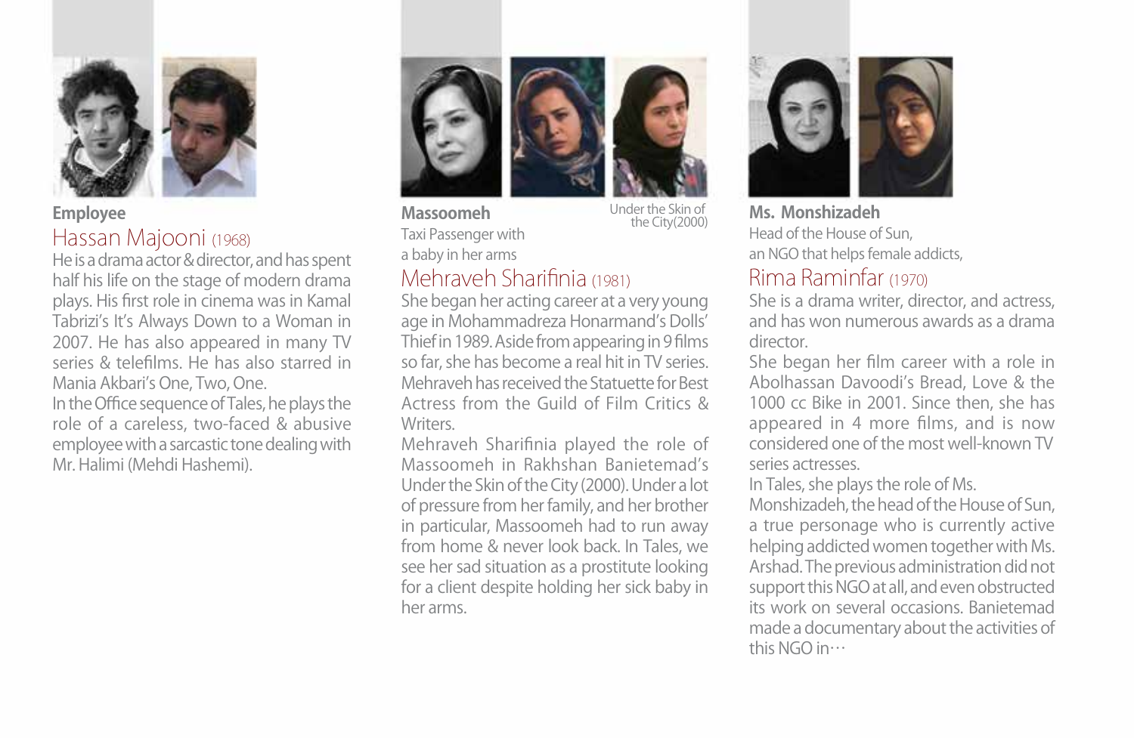

### **Employee Employee Employee Employee Employee Employee Employee Employee Employee Employee Employee Employee Employee Employee Employee Employee Employee Employee Employee Employee E** Hassan Majooni (1968)

He is a drama actor & director, and has spent half his life on the stage of modern drama plays. His first role in cinema was in Kamal Tabrizi's It's Always Down to a Woman in 2007. He has also appeared in many TV series & telefilms. He has also starred in Mania Akbari's One, Two, One. In the Office sequence of Tales, he plays the role of a careless, two-faced & abusive employee with a sarcastic tone dealing with Mr. Halimi (Mehdi Hashemi).





**Massoomeh** Taxi Passenger with a baby in her arms

Under the Skin of<br>the City (2000)

### Mehraveh Sharifinia (1981)

She began her acting career at a very young age in Mohammadreza Honarmand's Dolls' Thief in 1989. Aside from appearing in 9 films so far, she has become a real hit in TV series. Mehraveh has received the Statuette for Best Actress from the Guild of Film Critics & Writers.

Mehraveh Sharifinia played the role of Massoomeh in Rakhshan Banietemad's Under the Skin of the City (2000). Under a lot of pressure from her family, and her brother in particular, Massoomeh had to run away from home & never look back. In Tales, we see her sad situation as a prostitute looking for a client despite holding her sick baby in her arms.



**Ms. Monshizadeh** Head of the House of Sun, an NGO that helps female addicts,

### Rima Raminfar (1970)

She is a drama writer, director, and actress, and has won numerous awards as a drama director.

She began her film career with a role in Abolhassan Davoodi's Bread, Love & the 1000 cc Bike in 2001. Since then, she has appeared in 4 more films, and is now considered one of the most well-known TV series actresses.

In Tales, she plays the role of Ms.

Monshizadeh, the head of the House of Sun, a true personage who is currently active helping addicted women together with Ms. Arshad. The previous administration did not support this NGO at all, and even obstructed its work on several occasions. Banietemad made a documentary about the activities of this NGO in…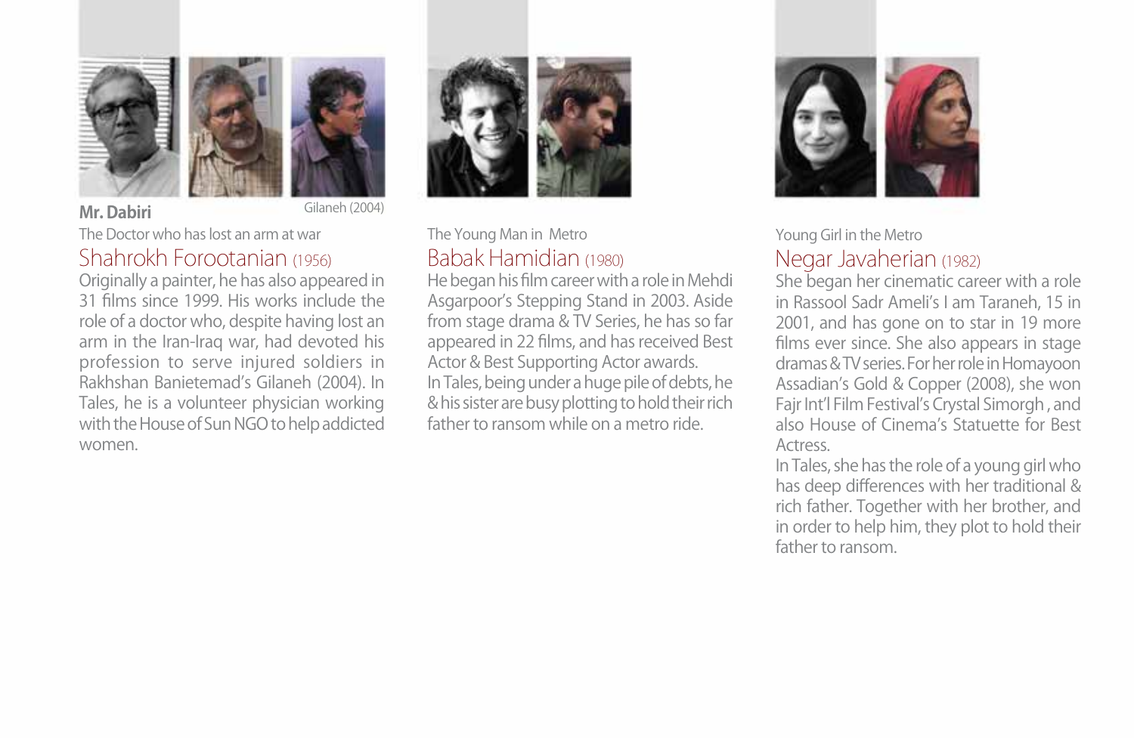



**Mr. Dabiri** Gilaneh (2004)

The Doctor who has lost an arm at war Shahrokh Forootanian (1956)

Originally a painter, he has also appeared in 31 films since 1999. His works include the role of a doctor who, despite having lost an arm in the Iran-Iraq war, had devoted his profession to serve injured soldiers in Rakhshan Banietemad's Gilaneh (2004). In Tales, he is a volunteer physician working with the House of Sun NGO to help addicted women.



### The Young Man in Metro Babak Hamidian (1980)

He began his film career with a role in Mehdi Asgarpoor's Stepping Stand in 2003. Aside from stage drama & TV Series, he has so far appeared in 22 films, and has received Best Actor & Best Supporting Actor awards. In Tales, being under a huge pile of debts, he & his sister are busy plotting to hold their rich father to ransom while on a metro ride.



### Young Girl in the Metro Negar Javaherian (1982)

She began her cinematic career with a role in Rassool Sadr Ameli's I am Taraneh, 15 in 2001, and has gone on to star in 19 more films ever since. She also appears in stage dramas & TV series. For her role in Homayoon Assadian's Gold & Copper (2008), she won Fajr Int'l Film Festival's Crystal Simorgh , and also House of Cinema's Statuette for Best Actress.

In Tales, she has the role of a young girl who has deep differences with her traditional & rich father. Together with her brother, and in order to help him, they plot to hold their father to ransom.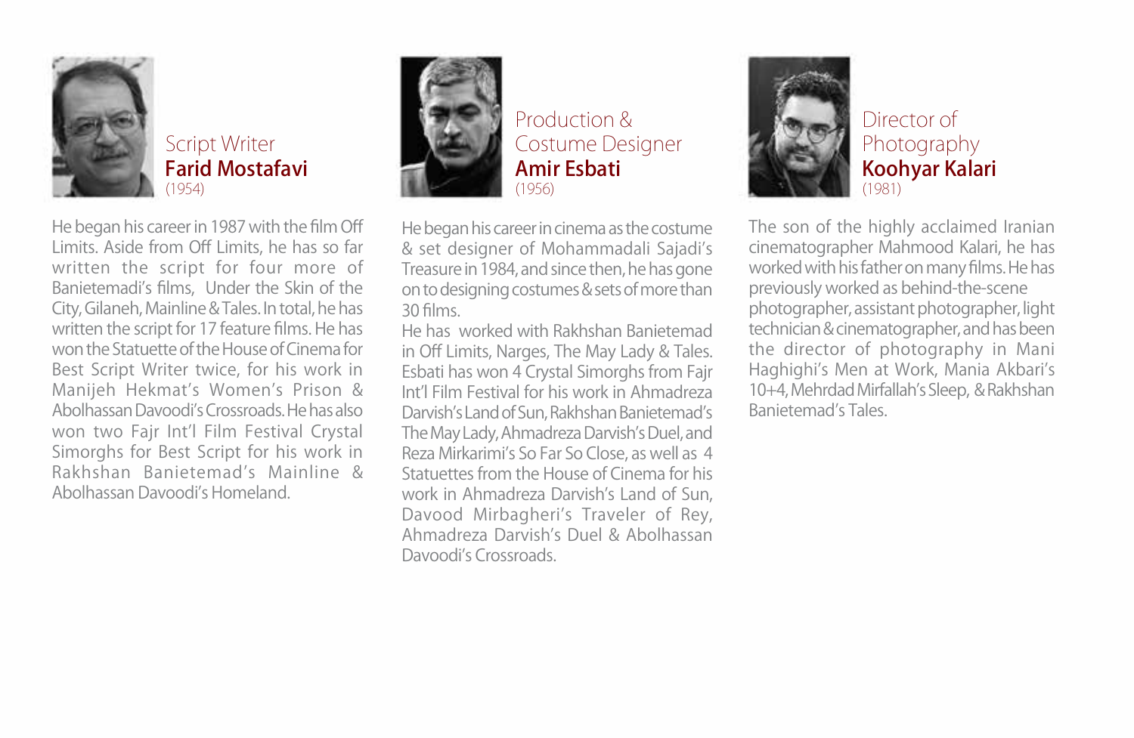

Script Writer Farid Mostafavi (1954)

He began his career in 1987 with the film Off Limits. Aside from Off Limits, he has so far written the script for four more of Banietemadi's films, Under the Skin of the City, Gilaneh, Mainline & Tales. In total, he has written the script for 17 feature films. He has won the Statuette of the House of Cinema for Best Script Writer twice, for his work in Manijeh Hekmat's Women's Prison & Abolhassan Davoodi's Crossroads. He has also won two Fajr Int'l Film Festival Crystal Simorghs for Best Script for his work in Rakhshan Banietemad's Mainline & Abolhassan Davoodi's Homeland.



Production & Costume Designer Amir Esbati (1956)

He began his career in cinema as the costume & set designer of Mohammadali Sajadi's Treasure in 1984, and since then, he has gone on to designing costumes & sets of more than 30 films.

He has worked with Rakhshan Banietemad in Off Limits, Narges, The May Lady & Tales. Esbati has won 4 Crystal Simorghs from Fajr Int'l Film Festival for his work in Ahmadreza Darvish's Land of Sun, Rakhshan Banietemad's The May Lady, Ahmadreza Darvish's Duel, and Reza Mirkarimi's So Far So Close, as well as 4 Statuettes from the House of Cinema for his work in Ahmadreza Darvish's Land of Sun, Davood Mirbagheri's Traveler of Rey, Ahmadreza Darvish's Duel & Abolhassan Davoodi's Crossroads.



Director of Photography Koohyar Kalari (1981)

The son of the highly acclaimed Iranian cinematographer Mahmood Kalari, he has worked with his father on many films. He has previously worked as behind-the-scene photographer, assistant photographer, light technician & cinematographer, and has been the director of photography in Mani Haghighi's Men at Work, Mania Akbari's 10+4, Mehrdad Mirfallah's Sleep, & Rakhshan Banietemad's Tales.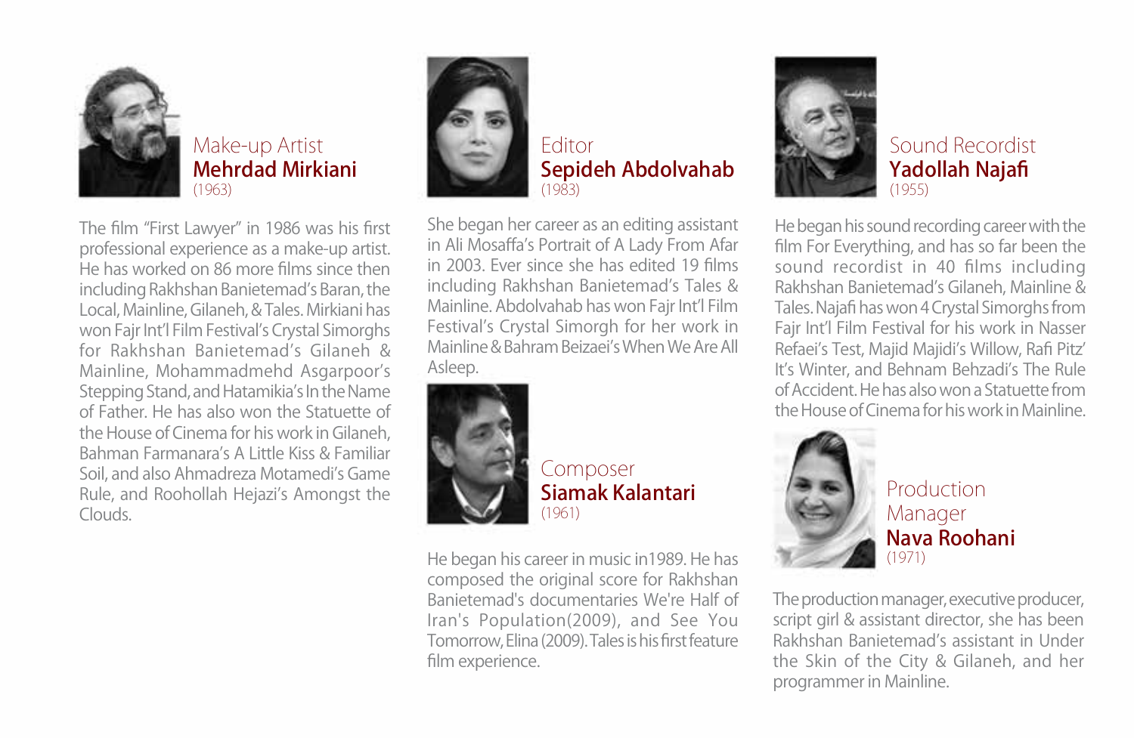

Make-up Artist Mehrdad Mirkiani (1963)

The film "First Lawyer" in 1986 was his first professional experience as a make-up artist. He has worked on 86 more films since then including Rakhshan Banietemad's Baran, the Local, Mainline, Gilaneh, & Tales. Mirkiani has won Fajr Int'l Film Festival's Crystal Simorghs for Rakhshan Banietemad's Gilaneh & Mainline, Mohammadmehd Asgarpoor's Stepping Stand, and Hatamikia's In the Name of Father. He has also won the Statuette of the House of Cinema for his work in Gilaneh, Bahman Farmanara's A Little Kiss & Familiar Soil, and also Ahmadreza Motamedi's Game Rule, and Roohollah Hejazi's Amongst the Clouds.



### Editor Sepideh Abdolvahab (1983)

She began her career as an editing assistant in Ali Mosaffa's Portrait of A Lady From Afar in 2003. Ever since she has edited 19 films including Rakhshan Banietemad's Tales & Mainline. Abdolvahab has won Fajr Int'l Film Festival's Crystal Simorgh for her work in Mainline & Bahram Beizaei's When We Are All Asleep.



### Composer Siamak Kalantari (1961)

He began his career in music in1989. He has composed the original score for Rakhshan Banietemad's documentaries We're Half of Iran's Population(2009), and See You Tomorrow, Elina (2009). Tales is his first feature film experience.



### Sound Recordist Yadollah Najafi (1955)

He began his sound recording career with the film For Everything, and has so far been the sound recordist in 40 films including Rakhshan Banietemad's Gilaneh, Mainline & Tales. Najafi has won 4 Crystal Simorghs from Fajr Int'l Film Festival for his work in Nasser Refaei's Test, Majid Majidi's Willow, Rafi Pitz' It's Winter, and Behnam Behzadi's The Rule of Accident. He has also won a Statuette from the House of Cinema for his work in Mainline.



### Production Manager Nava Roohani (1971)

The production manager, executive producer, script girl & assistant director, she has been Rakhshan Banietemad's assistant in Under the Skin of the City & Gilaneh, and her programmer in Mainline.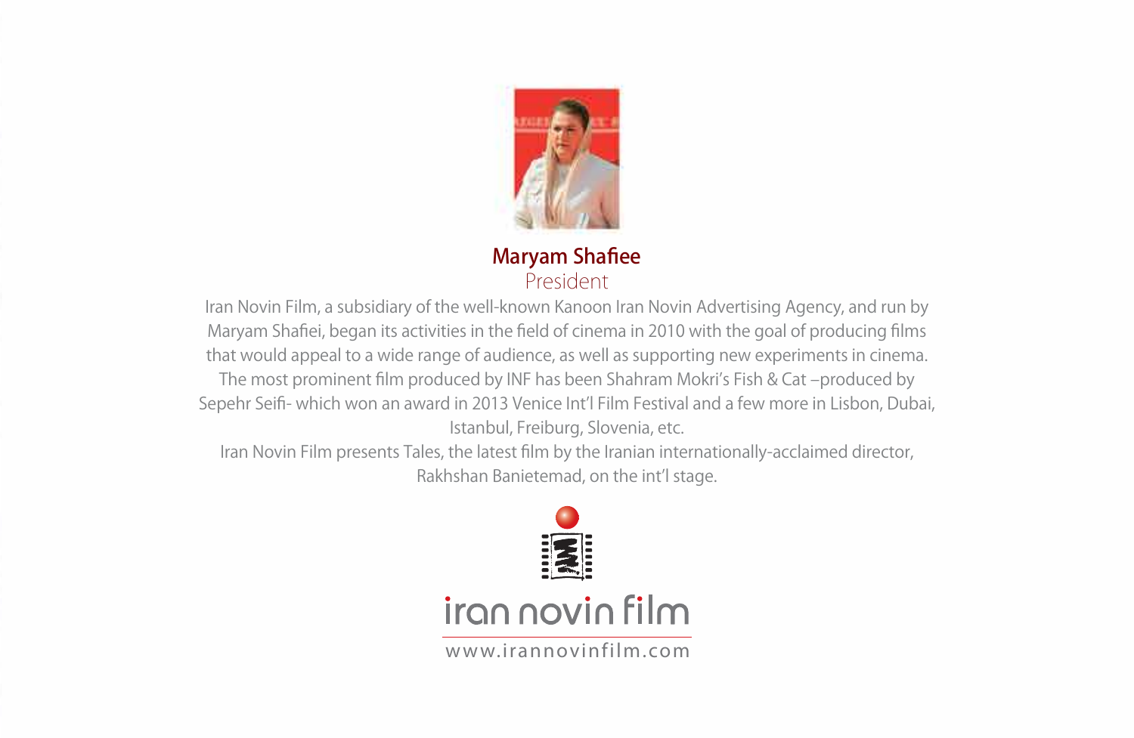

Maryam Shafiee President

Iran Novin Film, a subsidiary of the well-known Kanoon Iran Novin Advertising Agency, and run by Maryam Shafiei, began its activities in the field of cinema in 2010 with the goal of producing films that would appeal to a wide range of audience, as well as supporting new experiments in cinema. The most prominent film produced by INF has been Shahram Mokri's Fish & Cat -produced by Sepehr Seifi- which won an award in 2013 Venice Int'l Film Festival and a few more in Lisbon, Dubai, Istanbul, Freiburg, Slovenia, etc.

Iran Novin Film presents Tales, the latest film by the Iranian internationally-acclaimed director, Rakhshan Banietemad, on the int'l stage.